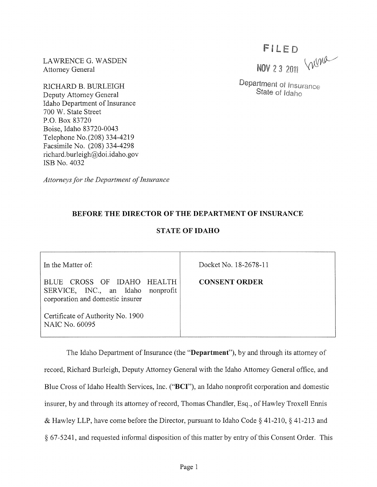LAWRENCE G. WASDEN Attorney General

RICHARD B. BURLEIGH Deputy Attorney General Idaho Department of Insurance 700 W. State Street P.O. Box 83720 Boise, Idaho 83720-0043 Telephone No.(208) 334-4219 Facsimile No. (208) 334-4298 richard.burleigh@doi.idaho.gov ISB No. 4032

*Attorneys for the Department of Insurance* 

## **BEFORE THE DIRECTOR OF THE DEPARTMENT OF INSURANCE**

## **STATE** OF IDAHO

In the Matter of:

BLUE CROSS OF IDAHO HEALTH SERVICE, INC., an Idaho nonprofit corporation and domestic insurer

Certificate of Authority No. 1900 NAIC No. 60095

Docket No. 18-2678-11

**CONSENT ORDER** 

The Idaho Department of Insurance (the **"Department"),** by and through its attorney of record, Richard Burleigh, Deputy Attorney General with the Idaho Attorney General office, and Blue Cross of Idaho Health Services, Inc. ("BCI"), an Idaho nonprofit corporation and domestic insurer, by and through its attorney of record, Thomas Chandler, Esq., of Hawley Troxell Ennis & Hawley LLP, have come before the Director, pursuant to Idaho Code § 41-210, § 41-213 and § 67-5241, and requested informal disposition of this matter by entry of this Consent Order. This

FILED<br>NOV 23 2011 VWW

Department of Insurance State of Idaho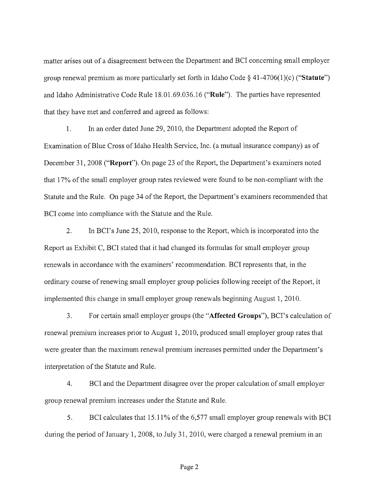matter arises out of a disagreement between the Department and BCI concerning small employer group renewal premium as more particularly set forth in Idaho Code  $\S$  41-4706(1)(c) ("Statute") and Idaho Administrative Code Rule 18.01.69.036.16 ("Rule"). The parties have represented that they have met and conferred and agreed as follows:

1. In an order dated June 29, 2010, the Department adopted the Report of Examination of Blue Cross of Idaho Health Service, Inc. (a mutual insurance company) as of December 31, 2008 ("Report"). On page 23 of the Report, the Department's examiners noted that 17% of the small employer group rates reviewed were found to be non-compliant with the Statute and the Rule. On page 34 of the Report, the Department's examiners recommended that BCI come into compliance with the Statute and the Rule.

2. In BCl's June 25,2010, response to the Report, which is incorporated into the Report as Exhibit C, BCI stated that it had changed its formulas for small employer group renewals in accordance with the examiners' recommendation. BCI represents that, in the ordinary course of renewing small employer group policies following receipt of the Report, it implemented this change in small employer group renewals beginning August 1,2010.

3. For certain small employer groups (the "Affected Groups"), BCl's calculation of renewal premium increases prior to August 1,2010, produced small employer group rates that were greater than the maximum renewal premium increases permitted under the Department's interpretation of the Statute and Rule.

4. BCI and the Department disagree over the proper calculation of small employer group renewal premium increases under the Statute and Rule.

5. BCI calculates that 15.11% of the 6,577 small employer group renewals with BCI during the period of January 1,2008, to July 31,2010, were charged a renewal premium in an

Page 2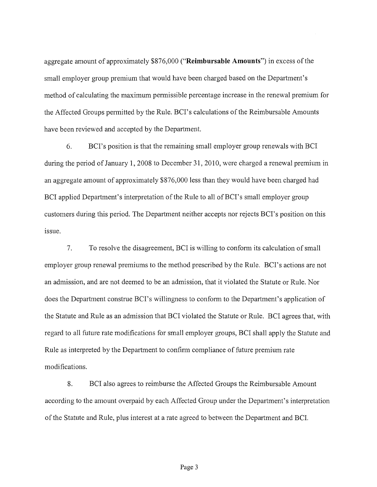aggregate amount of approximately \$876,000 **("Reimbursable Amounts")** in excess of the small employer group premium that would have been charged based on the Department's method of calculating the maximum permissible percentage increase in the renewal premium for the Affected Groups pennitted by the Rule. BCl's calculations of the Reimbursable Amounts have been reviewed and accepted by the Department.

6. BCl's position is that the remaining small employer group renewals with BCI during the period of January 1, 2008 to December 31, 2010, were charged a renewal premium in an aggregate amount of approximately \$876,000 less than they would have been charged had BCI applied Department's interpretation of the Rule to all of BCI's small employer group customers during this period. The Department neither accepts nor rejects BCl's position on this issue.

7. To resolve the disagreement, BCI is willing to confonn its calculation of small employer group renewal premiums to the method prescribed by the Rule. BCl's actions are not an admission, and are not deemed to be an admission, that it violated the Statute or Rule. Nor does the Department construe BCI's willingness to conform to the Department's application of the Statute and Rule as an admission that BCI violated the Statute or Rule. BCI agrees that, with regard to all future rate modifications for small employer groups, BCI shall apply the Statute and Rule as interpreted by the Department to confinn compliance of future premium rate modifications.

8. BCI also agrees to reimburse the Affected Groups the Reimbursable Amount according to the amount overpaid by each Affected Group under the Department's interpretation of the Statute and Rule, plus interest at a rate agreed to between the Department and BCL

Page 3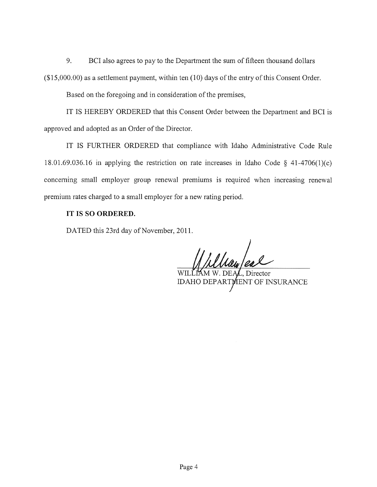9. BCI also agrees to pay to the Department the sum of fifteen thousand dollars

 $($15,000.00)$  as a settlement payment, within ten  $(10)$  days of the entry of this Consent Order.

Based on the foregoing and in consideration of the premises,

IT IS HEREBY ORDERED that this Consent Order between the Department and BCI is approved and adopted as an Order of the Director.

IT IS FURTHER ORDERED that compliance with Idaho Administrative Code Rule 18.01.69.036.16 in applying the restriction on rate increases in Idaho Code § 41-4706(1)(c) concerning small employer group renewal premiums is required when increasing renewal premium rates charged to a small employer for a new rating period.

## **IT IS SO ORDERED.**

DATED this 23rd day of November, 2011.

WILLIAM W. DEAL, Director

IDAHO DEPARTMENT OF INSURANCE